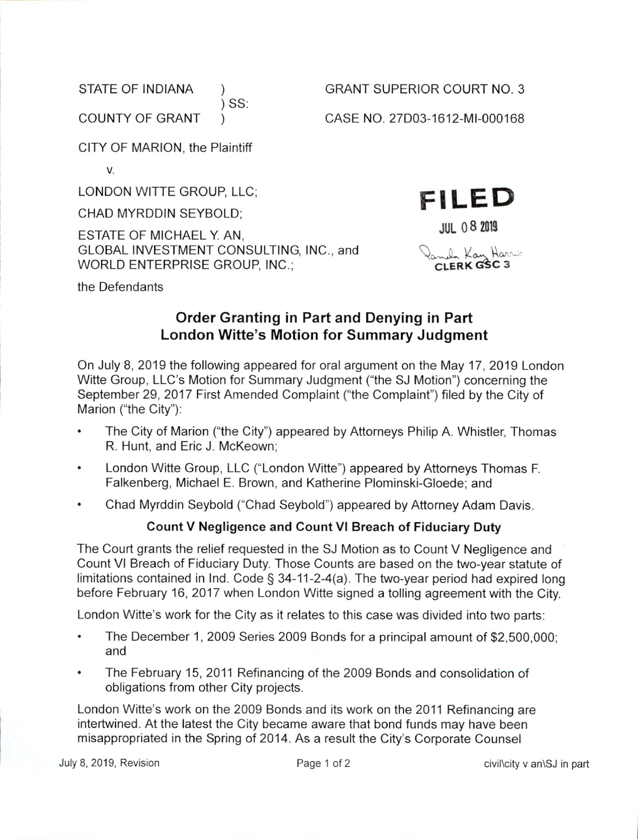SS:

STATE OF INDIANA  $\qquad$  ) GRANT SUPERIOR COURT NO. 3

COUNTY OF GRANT (2000) CASE NO. 27D03-1612-MI-000168

**JUL 08 2019** 

FILED

CLERK GSC 3

CITY OF MARION, the Plaintiff

v.

LONDON WITTE GROUP, LLC;

CHAD MYRDDIN SEYBOLD;

ESTATE 0F MICHAEL Y. AN, GLOBAL INVESTMENT CONSULTING, INC., and  $\bigotimes_{\alpha=1}^{\infty}$  Kan Hannes WORLD ENTERPRISE GROUP, INC.;

the Defendants

## Order Granting in Part and Denying in Part London Witte's Motion for Summary Judgment

On July 8, 2019 the following appeared for oral argument on the May 17, 2019 London Witte Group, LLC's Motion for Summary Judgment ("the SJ Motion") concerning the September 29, 2017 First Amended Complaint ("the Complaint") filed by the City of Marion ("the City"):

- The City of Marion ("the City") appeared by Attorneys Philip A. Whistler, Thomas R. Hunt, and Eric J. McKeown;
- London Witte Group, LLC ("London Witte") appeared by Attorneys Thomas F.  $\bullet$ Falkenberg, Michael E. Brown. and Katherine Plominski-Gloede; and
- Chad Myrddin Seybold ("Chad Seybold") appeared by Attorney Adam Davis.

## Count Negligence and Count VI Breach of Fiduciary Duty

The Court grants the relief requested in the SJ Motion as to Count V Negligence and Count VI Breach of Fiduciary Duty. Those Counts are based on the two—year statute of limitations contained in Ind. Code  $\S$  34-11-2-4(a). The two-year period had expired long before February 16, 2017 when London Witte signed a tolling agreement with the City.

London Witte's work for the City as it relates to this case was divided into two parts:

- The December 1, 2009 Series 2009 Bonds for a principal amount of \$2,500,000; and
- The February 15, 2011 Refinancing of the 2009 Bonds and consolidation of obligations from other City projects.

London Witte's work on the 2009 Bonds and its work on the 2011 Refinancing are intertwined. At the latest the City became aware that bond funds may have been misappropriated in the Spring of 2014. As a result the City's Corporate Counsel

July 8, 2019, Revision **Page 1 of 2** Page 1 of 2